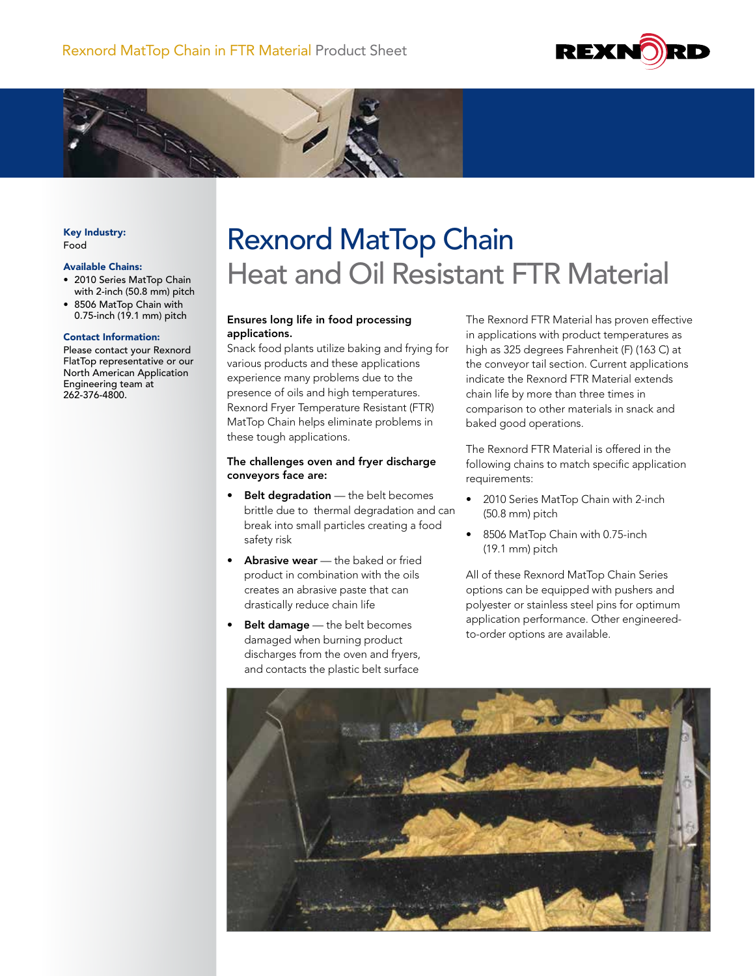



### Key Industry: Food

### Available Chains:

- 2010 Series MatTop Chain with 2-inch (50.8 mm) pitch
- 8506 MatTop Chain with 0.75-inch (19.1 mm) pitch

### Contact Information:

Please contact your Rexnord FlatTop representative or our North American Application Engineering team at 262-376-4800.

# Rexnord MatTop Chain Heat and Oil Resistant FTR Material

## Ensures long life in food processing applications.

Snack food plants utilize baking and frying for various products and these applications experience many problems due to the presence of oils and high temperatures. Rexnord Fryer Temperature Resistant (FTR) MatTop Chain helps eliminate problems in these tough applications.

## The challenges oven and fryer discharge conveyors face are:

- Belt degradation the belt becomes brittle due to thermal degradation and can break into small particles creating a food safety risk
- **Abrasive wear**  $-$  the baked or fried product in combination with the oils creates an abrasive paste that can drastically reduce chain life
- Belt damage the belt becomes damaged when burning product discharges from the oven and fryers, and contacts the plastic belt surface

The Rexnord FTR Material has proven effective in applications with product temperatures as high as 325 degrees Fahrenheit (F) (163 C) at the conveyor tail section. Current applications indicate the Rexnord FTR Material extends chain life by more than three times in comparison to other materials in snack and baked good operations.

The Rexnord FTR Material is offered in the following chains to match specific application requirements:

- 2010 Series MatTop Chain with 2-inch (50.8 mm) pitch
- 8506 MatTop Chain with 0.75-inch (19.1 mm) pitch

All of these Rexnord MatTop Chain Series options can be equipped with pushers and polyester or stainless steel pins for optimum application performance. Other engineeredto-order options are available.